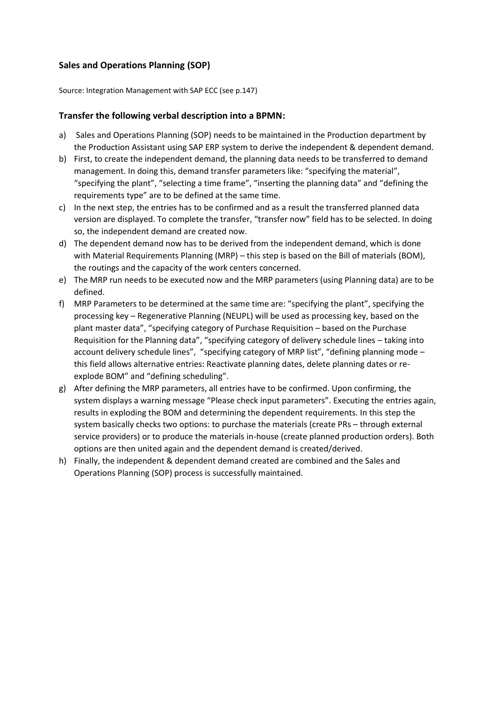## **Sales and Operations Planning (SOP)**

Source: Integration Management with SAP ECC (see p.147)

## **Transfer the following verbal description into a BPMN:**

- a) Sales and Operations Planning (SOP) needs to be maintained in the Production department by the Production Assistant using SAP ERP system to derive the independent & dependent demand.
- b) First, to create the independent demand, the planning data needs to be transferred to demand management. In doing this, demand transfer parameters like: "specifying the material", "specifying the plant", "selecting a time frame", "inserting the planning data" and "defining the requirements type" are to be defined at the same time.
- c) In the next step, the entries has to be confirmed and as a result the transferred planned data version are displayed. To complete the transfer, "transfer now" field has to be selected. In doing so, the independent demand are created now.
- d) The dependent demand now has to be derived from the independent demand, which is done with Material Requirements Planning (MRP) – this step is based on the Bill of materials (BOM), the routings and the capacity of the work centers concerned.
- e) The MRP run needs to be executed now and the MRP parameters (using Planning data) are to be defined.
- f) MRP Parameters to be determined at the same time are: "specifying the plant", specifying the processing key – Regenerative Planning (NEUPL) will be used as processing key, based on the plant master data", "specifying category of Purchase Requisition – based on the Purchase Requisition for the Planning data", "specifying category of delivery schedule lines – taking into account delivery schedule lines", "specifying category of MRP list", "defining planning mode – this field allows alternative entries: Reactivate planning dates, delete planning dates or reexplode BOM" and "defining scheduling".
- g) After defining the MRP parameters, all entries have to be confirmed. Upon confirming, the system displays a warning message "Please check input parameters". Executing the entries again, results in exploding the BOM and determining the dependent requirements. In this step the system basically checks two options: to purchase the materials (create PRs – through external service providers) or to produce the materials in-house (create planned production orders). Both options are then united again and the dependent demand is created/derived.
- h) Finally, the independent & dependent demand created are combined and the Sales and Operations Planning (SOP) process is successfully maintained.